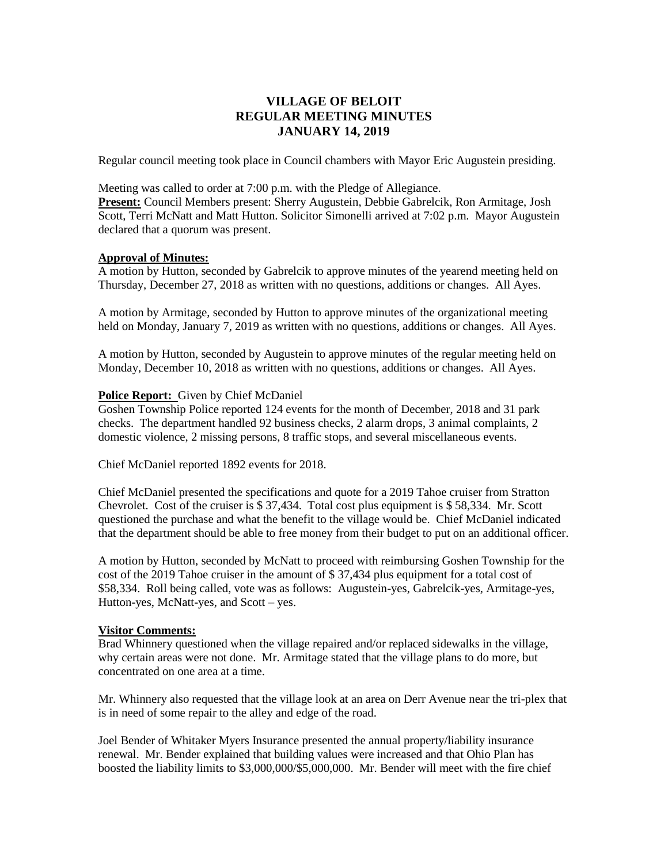# **VILLAGE OF BELOIT REGULAR MEETING MINUTES JANUARY 14, 2019**

Regular council meeting took place in Council chambers with Mayor Eric Augustein presiding.

Meeting was called to order at 7:00 p.m. with the Pledge of Allegiance.

**Present:** Council Members present: Sherry Augustein, Debbie Gabrelcik, Ron Armitage, Josh Scott, Terri McNatt and Matt Hutton. Solicitor Simonelli arrived at 7:02 p.m. Mayor Augustein declared that a quorum was present.

# **Approval of Minutes:**

A motion by Hutton, seconded by Gabrelcik to approve minutes of the yearend meeting held on Thursday, December 27, 2018 as written with no questions, additions or changes. All Ayes.

A motion by Armitage, seconded by Hutton to approve minutes of the organizational meeting held on Monday, January 7, 2019 as written with no questions, additions or changes. All Ayes.

A motion by Hutton, seconded by Augustein to approve minutes of the regular meeting held on Monday, December 10, 2018 as written with no questions, additions or changes. All Ayes.

### **Police Report:** Given by Chief McDaniel

Goshen Township Police reported 124 events for the month of December, 2018 and 31 park checks. The department handled 92 business checks, 2 alarm drops, 3 animal complaints, 2 domestic violence, 2 missing persons, 8 traffic stops, and several miscellaneous events.

Chief McDaniel reported 1892 events for 2018.

Chief McDaniel presented the specifications and quote for a 2019 Tahoe cruiser from Stratton Chevrolet. Cost of the cruiser is \$ 37,434. Total cost plus equipment is \$ 58,334. Mr. Scott questioned the purchase and what the benefit to the village would be. Chief McDaniel indicated that the department should be able to free money from their budget to put on an additional officer.

A motion by Hutton, seconded by McNatt to proceed with reimbursing Goshen Township for the cost of the 2019 Tahoe cruiser in the amount of \$ 37,434 plus equipment for a total cost of \$58,334. Roll being called, vote was as follows: Augustein-yes, Gabrelcik-yes, Armitage-yes, Hutton-yes, McNatt-yes, and Scott – yes.

# **Visitor Comments:**

Brad Whinnery questioned when the village repaired and/or replaced sidewalks in the village, why certain areas were not done. Mr. Armitage stated that the village plans to do more, but concentrated on one area at a time.

Mr. Whinnery also requested that the village look at an area on Derr Avenue near the tri-plex that is in need of some repair to the alley and edge of the road.

Joel Bender of Whitaker Myers Insurance presented the annual property/liability insurance renewal. Mr. Bender explained that building values were increased and that Ohio Plan has boosted the liability limits to \$3,000,000/\$5,000,000. Mr. Bender will meet with the fire chief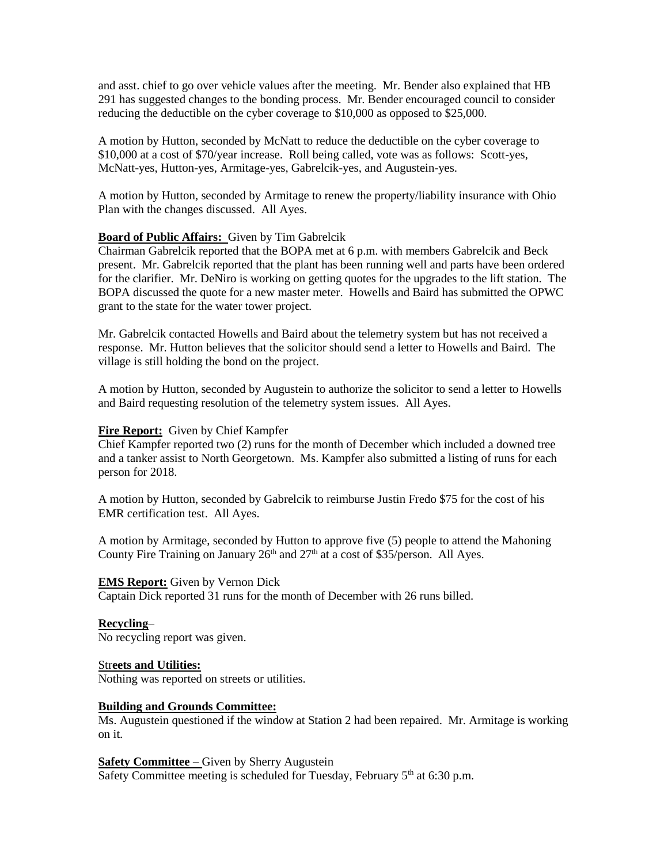and asst. chief to go over vehicle values after the meeting. Mr. Bender also explained that HB 291 has suggested changes to the bonding process. Mr. Bender encouraged council to consider reducing the deductible on the cyber coverage to \$10,000 as opposed to \$25,000.

A motion by Hutton, seconded by McNatt to reduce the deductible on the cyber coverage to \$10,000 at a cost of \$70/year increase. Roll being called, vote was as follows: Scott-yes, McNatt-yes, Hutton-yes, Armitage-yes, Gabrelcik-yes, and Augustein-yes.

A motion by Hutton, seconded by Armitage to renew the property/liability insurance with Ohio Plan with the changes discussed. All Ayes.

### **Board of Public Affairs:** Given by Tim Gabrelcik

Chairman Gabrelcik reported that the BOPA met at 6 p.m. with members Gabrelcik and Beck present. Mr. Gabrelcik reported that the plant has been running well and parts have been ordered for the clarifier. Mr. DeNiro is working on getting quotes for the upgrades to the lift station. The BOPA discussed the quote for a new master meter. Howells and Baird has submitted the OPWC grant to the state for the water tower project.

Mr. Gabrelcik contacted Howells and Baird about the telemetry system but has not received a response. Mr. Hutton believes that the solicitor should send a letter to Howells and Baird. The village is still holding the bond on the project.

A motion by Hutton, seconded by Augustein to authorize the solicitor to send a letter to Howells and Baird requesting resolution of the telemetry system issues. All Ayes.

#### **Fire Report:** Given by Chief Kampfer

Chief Kampfer reported two (2) runs for the month of December which included a downed tree and a tanker assist to North Georgetown. Ms. Kampfer also submitted a listing of runs for each person for 2018.

A motion by Hutton, seconded by Gabrelcik to reimburse Justin Fredo \$75 for the cost of his EMR certification test. All Ayes.

A motion by Armitage, seconded by Hutton to approve five (5) people to attend the Mahoning County Fire Training on January  $26<sup>th</sup>$  and  $27<sup>th</sup>$  at a cost of \$35/person. All Ayes.

#### **EMS Report:** Given by Vernon Dick

Captain Dick reported 31 runs for the month of December with 26 runs billed.

# **Recycling**–

No recycling report was given.

# Str**eets and Utilities:**

Nothing was reported on streets or utilities.

#### **Building and Grounds Committee:**

Ms. Augustein questioned if the window at Station 2 had been repaired. Mr. Armitage is working on it.

### **Safety Committee –** Given by Sherry Augustein

Safety Committee meeting is scheduled for Tuesday, February  $5<sup>th</sup>$  at 6:30 p.m.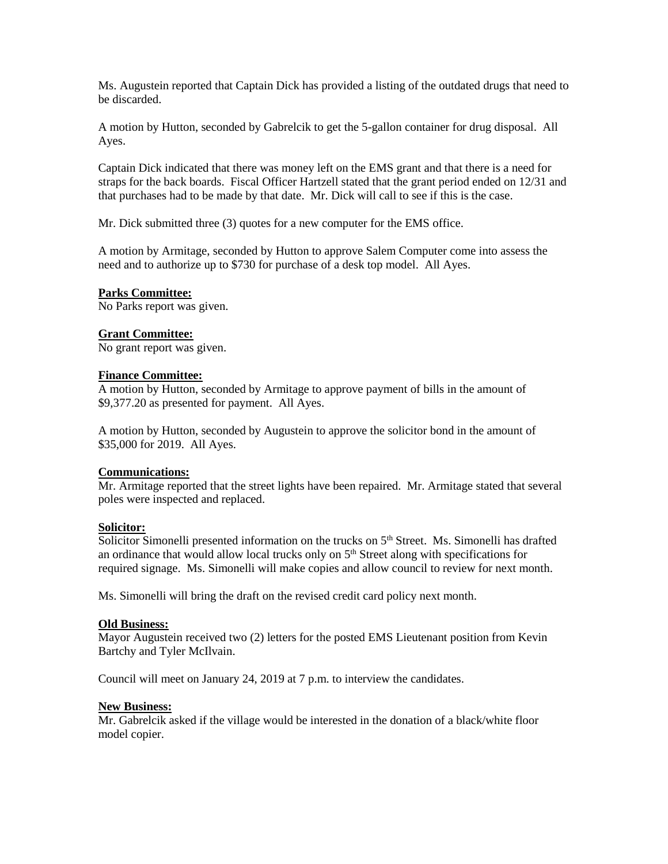Ms. Augustein reported that Captain Dick has provided a listing of the outdated drugs that need to be discarded.

A motion by Hutton, seconded by Gabrelcik to get the 5-gallon container for drug disposal. All Ayes.

Captain Dick indicated that there was money left on the EMS grant and that there is a need for straps for the back boards. Fiscal Officer Hartzell stated that the grant period ended on 12/31 and that purchases had to be made by that date. Mr. Dick will call to see if this is the case.

Mr. Dick submitted three (3) quotes for a new computer for the EMS office.

A motion by Armitage, seconded by Hutton to approve Salem Computer come into assess the need and to authorize up to \$730 for purchase of a desk top model. All Ayes.

### **Parks Committee:**

No Parks report was given.

### **Grant Committee:**

No grant report was given.

#### **Finance Committee:**

A motion by Hutton, seconded by Armitage to approve payment of bills in the amount of \$9,377.20 as presented for payment. All Ayes.

A motion by Hutton, seconded by Augustein to approve the solicitor bond in the amount of \$35,000 for 2019. All Ayes.

#### **Communications:**

Mr. Armitage reported that the street lights have been repaired. Mr. Armitage stated that several poles were inspected and replaced.

# **Solicitor:**

Solicitor Simonelli presented information on the trucks on  $5<sup>th</sup>$  Street. Ms. Simonelli has drafted an ordinance that would allow local trucks only on  $5<sup>th</sup>$  Street along with specifications for required signage. Ms. Simonelli will make copies and allow council to review for next month.

Ms. Simonelli will bring the draft on the revised credit card policy next month.

#### **Old Business:**

Mayor Augustein received two (2) letters for the posted EMS Lieutenant position from Kevin Bartchy and Tyler McIlvain.

Council will meet on January 24, 2019 at 7 p.m. to interview the candidates.

#### **New Business:**

Mr. Gabrelcik asked if the village would be interested in the donation of a black/white floor model copier.